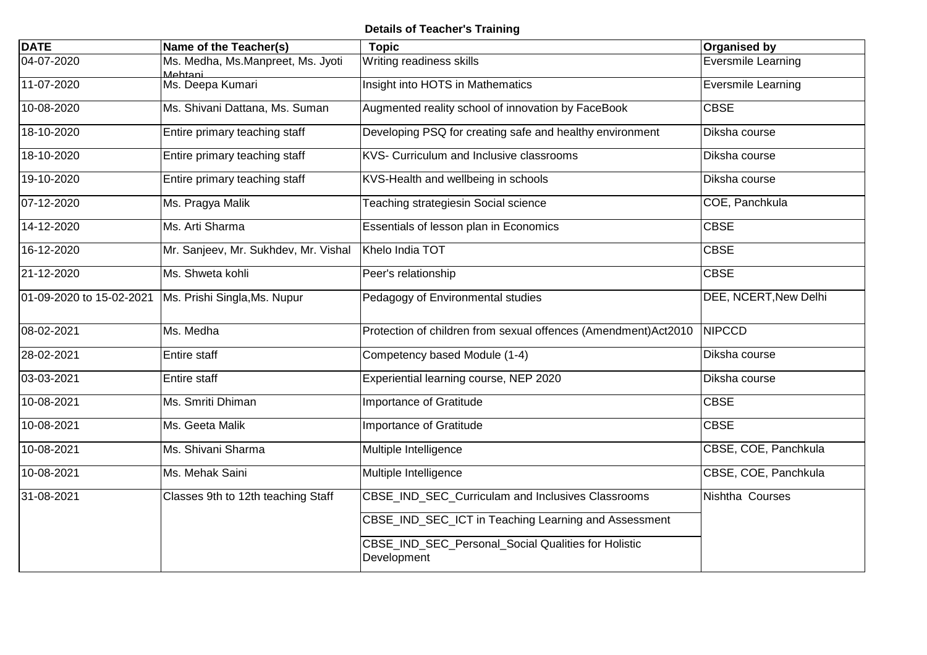## **Details of Teacher's Training**

| <b>DATE</b>              | Name of the Teacher(s)                       | <b>Topic</b>                                                       | <b>Organised by</b>          |
|--------------------------|----------------------------------------------|--------------------------------------------------------------------|------------------------------|
| 04-07-2020               | Ms. Medha, Ms.Manpreet, Ms. Jyoti<br>Mehtani | Writing readiness skills                                           | Eversmile Learning           |
| 11-07-2020               | Ms. Deepa Kumari                             | Insight into HOTS in Mathematics                                   | Eversmile Learning           |
| 10-08-2020               | Ms. Shivani Dattana, Ms. Suman               | Augmented reality school of innovation by FaceBook                 | <b>CBSE</b>                  |
| 18-10-2020               | Entire primary teaching staff                | Developing PSQ for creating safe and healthy environment           | Diksha course                |
| 18-10-2020               | Entire primary teaching staff                | KVS- Curriculum and Inclusive classrooms                           | Diksha course                |
| 19-10-2020               | Entire primary teaching staff                | KVS-Health and wellbeing in schools                                | Diksha course                |
| 07-12-2020               | Ms. Pragya Malik                             | Teaching strategiesin Social science                               | COE, Panchkula               |
| 14-12-2020               | Ms. Arti Sharma                              | Essentials of lesson plan in Economics                             | <b>CBSE</b>                  |
| 16-12-2020               | Mr. Sanjeev, Mr. Sukhdev, Mr. Vishal         | Khelo India TOT                                                    | <b>CBSE</b>                  |
| 21-12-2020               | Ms. Shweta kohli                             | Peer's relationship                                                | <b>CBSE</b>                  |
| 01-09-2020 to 15-02-2021 | Ms. Prishi Singla, Ms. Nupur                 | Pedagogy of Environmental studies                                  | <b>DEE, NCERT, New Delhi</b> |
| 08-02-2021               | Ms. Medha                                    | Protection of children from sexual offences (Amendment)Act2010     | <b>NIPCCD</b>                |
| 28-02-2021               | <b>Entire staff</b>                          | Competency based Module (1-4)                                      | Diksha course                |
| 03-03-2021               | Entire staff                                 | Experiential learning course, NEP 2020                             | Diksha course                |
| 10-08-2021               | Ms. Smriti Dhiman                            | Importance of Gratitude                                            | <b>CBSE</b>                  |
| 10-08-2021               | Ms. Geeta Malik                              | Importance of Gratitude                                            | <b>CBSE</b>                  |
| 10-08-2021               | Ms. Shivani Sharma                           | Multiple Intelligence                                              | CBSE, COE, Panchkula         |
| 10-08-2021               | Ms. Mehak Saini                              | Multiple Intelligence                                              | CBSE, COE, Panchkula         |
| 31-08-2021               | Classes 9th to 12th teaching Staff           | CBSE_IND_SEC_Curriculam and Inclusives Classrooms                  | Nishtha Courses              |
|                          |                                              | CBSE_IND_SEC_ICT in Teaching Learning and Assessment               |                              |
|                          |                                              | CBSE_IND_SEC_Personal_Social Qualities for Holistic<br>Development |                              |